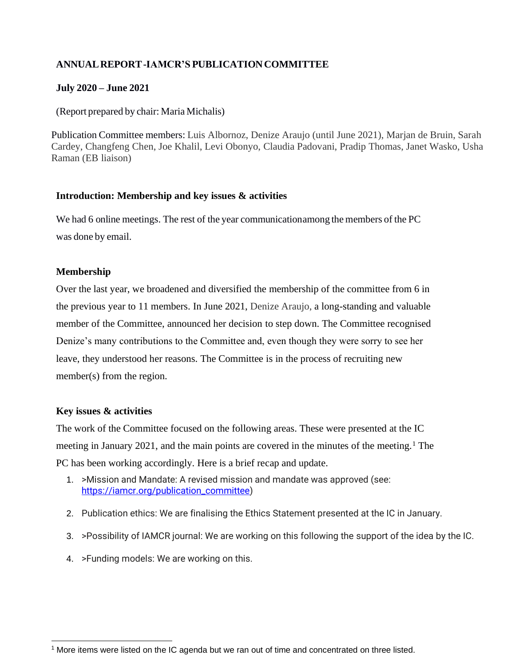# **ANNUALREPORT-IAMCR'S PUBLICATIONCOMMITTEE**

# **July 2020 – June 2021**

(Report prepared by chair: Maria Michalis)

Publication Committee members: Luis Albornoz, Denize Araujo (until June 2021), Marjan de Bruin, Sarah Cardey, Changfeng Chen, Joe Khalil, Levi Obonyo, Claudia Padovani, Pradip Thomas, Janet Wasko, Usha Raman (EB liaison)

#### **Introduction: Membership and key issues & activities**

We had 6 online meetings. The rest of the year communicationamong the members of the PC was done by email.

# **Membership**

Over the last year, we broadened and diversified the membership of the committee from 6 in the previous year to 11 members. In June 2021, Denize Araujo, a long-standing and valuable member of the Committee, announced her decision to step down. The Committee recognised Denize's many contributions to the Committee and, even though they were sorry to see her leave, they understood her reasons. The Committee is in the process of recruiting new member(s) from the region.

#### **Key issues & activities**

The work of the Committee focused on the following areas. These were presented at the IC meeting in January 2021, and the main points are covered in the minutes of the meeting.<sup>1</sup> The PC has been working accordingly. Here is a brief recap and update.

- 1. >Mission and Mandate: A revised mission and mandate was approved (see: [https://iamcr.org/publication\\_committee\)](https://iamcr.org/publication_committee)
- 2. Publication ethics: We are finalising the Ethics Statement presented at the IC in January.
- 3. >Possibility of IAMCR journal: We are working on this following the support of the idea by the IC.
- 4. >Funding models: We are working on this.

<sup>&</sup>lt;sup>1</sup> More items were listed on the IC agenda but we ran out of time and concentrated on three listed.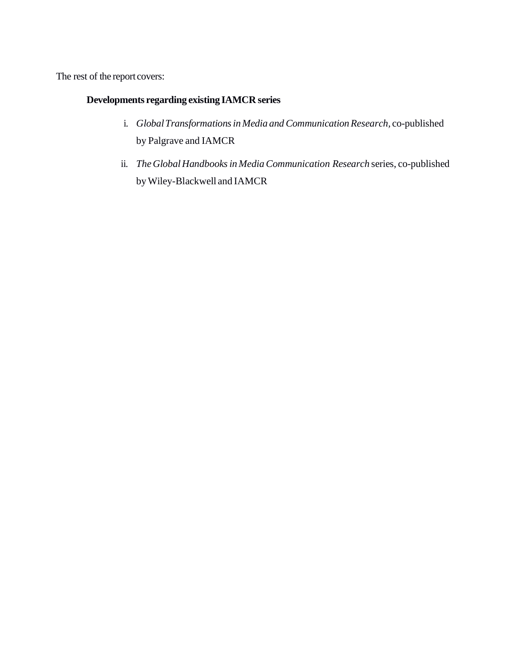The rest of the report covers:

# **Developments regarding existing IAMCR series**

- i. *GlobalTransformationsin Media and CommunicationResearch,* co-published by Palgrave and IAMCR
- ii. *TheGlobalHandbooksin MediaCommunication Research* series, co-published byWiley-Blackwell and IAMCR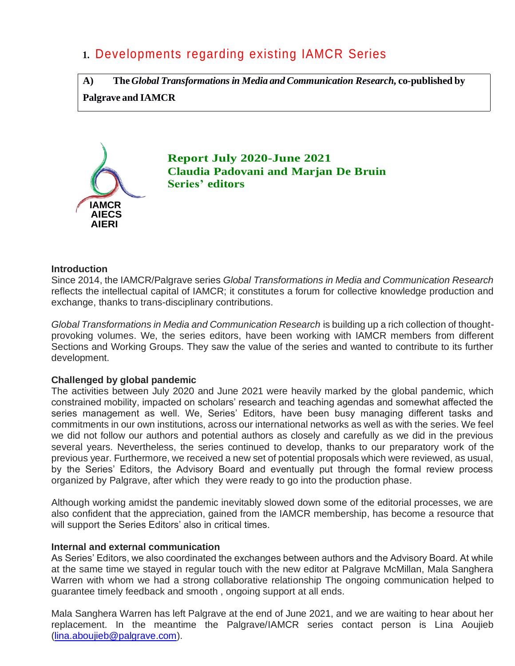# **1.** Developments regarding existing IAMCR Series

**A) The***Global Transformations in Media and Communication Research,* **co-published by Palgrave and IAMCR**



**Report July 2020-June 2021 Claudia Padovani and Marjan De Bruin Series' editors**

#### **Introduction**

Since 2014, the IAMCR/Palgrave series *[Global Transformations in Media and Communication Research](https://iamcr.org/publications/iamcr-book-series)* reflects the intellectual capital of IAMCR; it constitutes a forum for collective knowledge production and exchange, thanks to trans-disciplinary contributions.

*[Global Transformations in Media and Communication Research](https://iamcr.org/publications/iamcr-book-series)* is building up a rich collection of thoughtprovoking volumes. We, the series editors, have been working with IAMCR members from different Sections and Working Groups. They saw the value of the series and wanted to contribute to its further development.

# **Challenged by global pandemic**

The activities between July 2020 and June 2021 were heavily marked by the global pandemic, which constrained mobility, impacted on scholars' research and teaching agendas and somewhat affected the series management as well. We, Series' Editors, have been busy managing different tasks and commitments in our own institutions, across our international networks as well as with the series. We feel we did not follow our authors and potential authors as closely and carefully as we did in the previous several years. Nevertheless, the series continued to develop, thanks to our preparatory work of the previous year. Furthermore, we received a new set of potential proposals which were reviewed, as usual, by the Series' Editors, the Advisory Board and eventually put through the formal review process organized by Palgrave, after which they were ready to go into the production phase.

Although working amidst the pandemic inevitably slowed down some of the editorial processes, we are also confident that the appreciation, gained from the IAMCR membership, has become a resource that will support the Series Editors' also in critical times.

#### **Internal and external communication**

As Series' Editors, we also coordinated the exchanges between authors and the Advisory Board. At while at the same time we stayed in regular touch with the new editor at Palgrave McMillan, Mala Sanghera Warren with whom we had a strong collaborative relationship The ongoing communication helped to guarantee timely feedback and smooth , ongoing support at all ends.

Mala Sanghera Warren has left Palgrave at the end of June 2021, and we are waiting to hear about her replacement. In the meantime the Palgrave/IAMCR series contact person is Lina Aoujieb [\(lina.aboujieb@palgrave.com\)](mailto:lina.aboujieb@palgrave.com).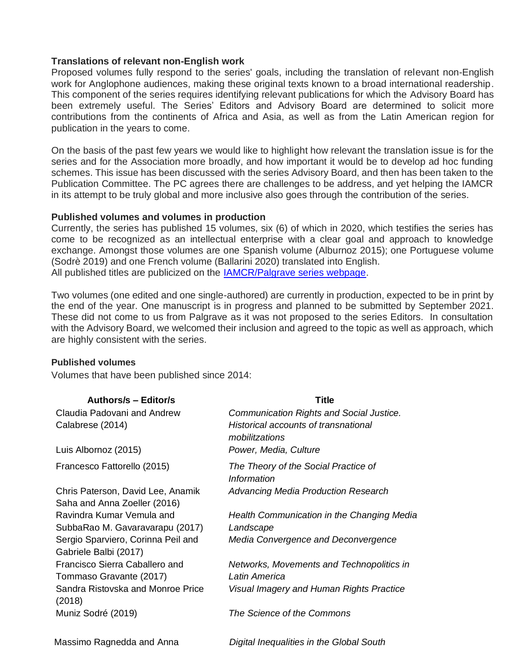#### **Translations of relevant non-English work**

Proposed volumes fully respond to the series' goals, including the translation of relevant non-English work for Anglophone audiences, making these original texts known to a broad international readership. This component of the series requires identifying relevant publications for which the Advisory Board has been extremely useful. The Series' Editors and Advisory Board are determined to solicit more contributions from the continents of Africa and Asia, as well as from the Latin American region for publication in the years to come.

On the basis of the past few years we would like to highlight how relevant the translation issue is for the series and for the Association more broadly, and how important it would be to develop ad hoc funding schemes. This issue has been discussed with the series Advisory Board, and then has been taken to the Publication Committee. The PC agrees there are challenges to be address, and yet helping the IAMCR in its attempt to be truly global and more inclusive also goes through the contribution of the series.

#### **Published volumes and volumes in production**

Currently, the series has published 15 volumes, six (6) of which in 2020, which testifies the series has come to be recognized as an intellectual enterprise with a clear goal and approach to knowledge exchange. Amongst those volumes are one Spanish volume (Alburnoz 2015); one Portuguese volume (Sodrè 2019) and one French volume (Ballarini 2020) translated into English. All published titles are publicized on the [IAMCR/Palgrave series webpage.](https://iamcr.org/publications/iamcr-book-series)

Two volumes (one edited and one single-authored) are currently in production, expected to be in print by the end of the year. One manuscript is in progress and planned to be submitted by September 2021. These did not come to us from Palgrave as it was not proposed to the series Editors. In consultation with the Advisory Board, we welcomed their inclusion and agreed to the topic as well as approach, which are highly consistent with the series.

#### **Published volumes**

Volumes that have been published since 2014:

| <b>Authors/s - Editor/s</b>                                 | <b>Title</b>                                           |
|-------------------------------------------------------------|--------------------------------------------------------|
| Claudia Padovani and Andrew                                 | Communication Rights and Social Justice.               |
| Calabrese (2014)                                            | Historical accounts of transnational<br>mobilitzations |
| Luis Albornoz (2015)                                        | Power, Media, Culture                                  |
| Francesco Fattorello (2015)                                 | The Theory of the Social Practice of<br>Information    |
| Chris Paterson, David Lee, Anamik                           | <b>Advancing Media Production Research</b>             |
| Saha and Anna Zoeller (2016)                                |                                                        |
| Ravindra Kumar Vemula and                                   | Health Communication in the Changing Media             |
| SubbaRao M. Gavaravarapu (2017)                             | Landscape                                              |
| Sergio Sparviero, Corinna Peil and<br>Gabriele Balbi (2017) | Media Convergence and Deconvergence                    |
| Francisco Sierra Caballero and                              | Networks, Movements and Technopolitics in              |
| Tommaso Gravante (2017)                                     | Latin America                                          |
| Sandra Ristovska and Monroe Price<br>(2018)                 | Visual Imagery and Human Rights Practice               |
| Muniz Sodré (2019)                                          | The Science of the Commons                             |
| Massimo Ragnedda and Anna                                   | Digital Inequalities in the Global South               |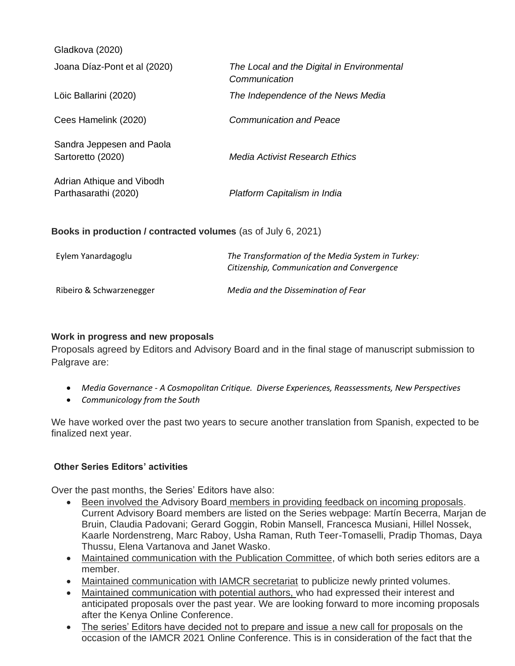| Gladkova (2020)                                               |                                                             |
|---------------------------------------------------------------|-------------------------------------------------------------|
| Joana Díaz-Pont et al (2020)                                  | The Local and the Digital in Environmental<br>Communication |
| Löic Ballarini (2020)                                         | The Independence of the News Media                          |
| Cees Hamelink (2020)                                          | <b>Communication and Peace</b>                              |
| Sandra Jeppesen and Paola<br>Sartoretto (2020)                | Media Activist Research Ethics                              |
| Adrian Athique and Vibodh<br>Parthasarathi (2020)             | Platform Capitalism in India                                |
| Books in production / contracted volumes (as of July 6, 2021) |                                                             |
| Eylem Yanardagoglu                                            | The Transformation of the Media System in Turkey:           |

Ribeiro & Schwarzenegger *Media and the Dissemination of Fear*

*Citizenship, Communication and Convergence*

# **Work in progress and new proposals**

Proposals agreed by Editors and Advisory Board and in the final stage of manuscript submission to Palgrave are:

- *Media Governance - A Cosmopolitan Critique. Diverse Experiences, Reassessments, New Perspectives*
- *Communicology from the South*

We have worked over the past two years to secure another translation from Spanish, expected to be finalized next year.

# **Other Series Editors' activities**

Over the past months, the Series' Editors have also:

- Been involved the Advisory Board members in providing feedback on incoming proposals. Current Advisory Board members are listed on the Series webpage: Martín Becerra, Marjan de Bruin, Claudia Padovani; Gerard Goggin, Robin Mansell, Francesca Musiani, Hillel Nossek, Kaarle Nordenstreng, Marc Raboy, Usha Raman, Ruth Teer-Tomaselli, Pradip Thomas, Daya Thussu, Elena Vartanova and Janet Wasko.
- Maintained communication with the Publication Committee, of which both series editors are a member.
- Maintained communication with IAMCR secretariat to publicize newly printed volumes.
- Maintained communication with potential authors, who had expressed their interest and anticipated proposals over the past year. We are looking forward to more incoming proposals after the Kenya Online Conference.
- The series' Editors have decided not to prepare and issue a new call for proposals on the occasion of the IAMCR 2021 Online Conference. This is in consideration of the fact that the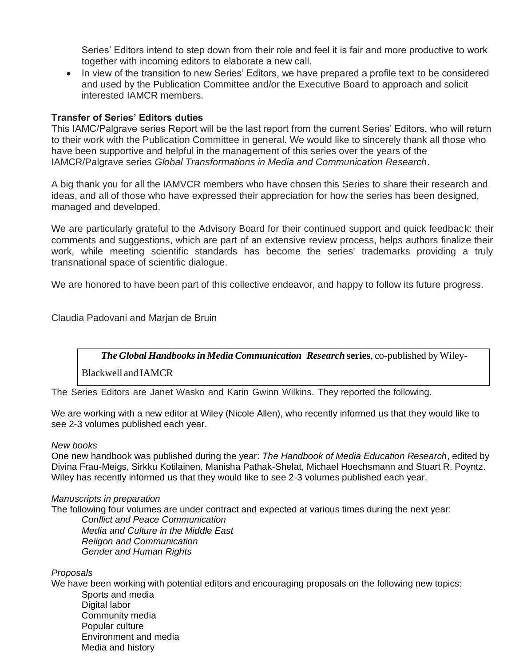Series' Editors intend to step down from their role and feel it is fair and more productive to work together with incoming editors to elaborate a new call.

• In view of the transition to new Series' Editors, we have prepared a profile text to be considered and used by the Publication Committee and/or the Executive Board to approach and solicit interested IAMCR members.

# **Transfer of Series' Editors duties**

This IAMC/Palgrave series Report will be the last report from the current Series' Editors, who will return to their work with the Publication Committee in general. We would like to sincerely thank all those who have been supportive and helpful in the management of this series over the years of the IAMCR/Palgrave series *[Global Transformations in Media and Communication Research](https://iamcr.org/publications/iamcr-book-series)*.

A big thank you for all the IAMVCR members who have chosen this Series to share their research and ideas, and all of those who have expressed their appreciation for how the series has been designed, managed and developed.

We are particularly grateful to the Advisory Board for their continued support and quick feedback: their comments and suggestions, which are part of an extensive review process, helps authors finalize their work, while meeting scientific standards has become the series' trademarks providing a truly transnational space of scientific dialogue.

We are honored to have been part of this collective endeavor, and happy to follow its future progress.

Claudia Padovani and Marjan de Bruin

*The Global Handbooksin Media Communication Research* **series**, co-published by Wiley-

Blackwell and IAMCR

The Series Editors are Janet Wasko and Karin Gwinn Wilkins. They reported the following.

We are working with a new editor at Wiley (Nicole Allen), who recently informed us that they would like to see 2-3 volumes published each year.

#### *New books*

One new handbook was published during the year: *The Handbook of Media Education Research*, edited by Divina Frau-Meigs, Sirkku Kotilainen, Manisha Pathak-Shelat, Michael Hoechsmann and Stuart R. Poyntz. Wiley has recently informed us that they would like to see 2-3 volumes published each year.

#### *Manuscripts in preparation*

The following four volumes are under contract and expected at various times during the next year: *Conflict and Peace Communication Media and Culture in the Middle East Religon and Communication Gender and Human Rights*

*Proposals*

We have been working with potential editors and encouraging proposals on the following new topics: Sports and media

Digital labor Community media Popular culture Environment and media Media and history